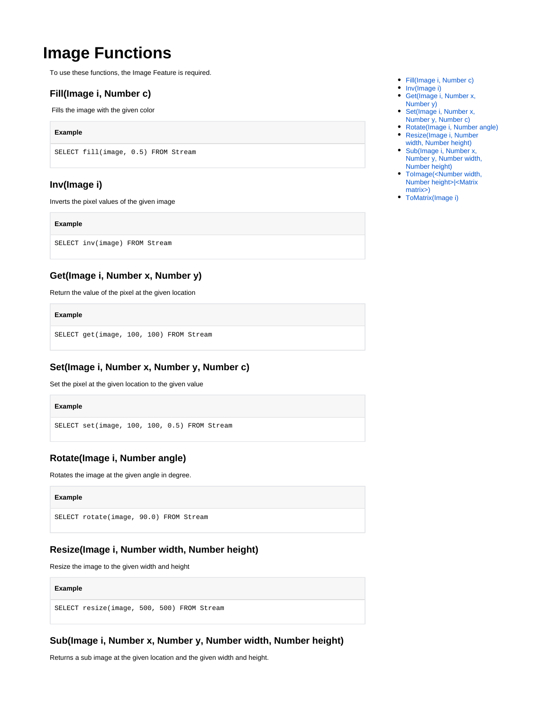# **Image Functions**

To use these functions, the Image Feature is required.

## <span id="page-0-0"></span>**Fill(Image i, Number c)**

Fills the image with the given color

### **Example**

SELECT fill(image, 0.5) FROM Stream

## <span id="page-0-1"></span>**Inv(Image i)**

Inverts the pixel values of the given image

#### **Example**

SELECT inv(image) FROM Stream

## <span id="page-0-2"></span>**Get(Image i, Number x, Number y)**

Return the value of the pixel at the given location

#### **Example**

SELECT get(image, 100, 100) FROM Stream

## <span id="page-0-3"></span>**Set(Image i, Number x, Number y, Number c)**

Set the pixel at the given location to the given value

#### **Example**

SELECT set(image, 100, 100, 0.5) FROM Stream

## <span id="page-0-4"></span>**Rotate(Image i, Number angle)**

Rotates the image at the given angle in degree.

#### **Example**

SELECT rotate(image, 90.0) FROM Stream

## <span id="page-0-5"></span>**Resize(Image i, Number width, Number height)**

Resize the image to the given width and height

#### **Example**

SELECT resize(image, 500, 500) FROM Stream

# <span id="page-0-6"></span>**Sub(Image i, Number x, Number y, Number width, Number height)**

Returns a sub image at the given location and the given width and height.

- [Fill\(Image i, Number c\)](#page-0-0)
- [Inv\(Image i\)](#page-0-1)
- [Get\(Image i, Number x,](#page-0-2)  [Number y\)](#page-0-2)
- Set(Image i, Number x, [Number y, Number c\)](#page-0-3)
- [Rotate\(Image i, Number angle\)](#page-0-4) [Resize\(Image i, Number](#page-0-5)
- [width, Number height\)](#page-0-5) [Sub\(Image i, Number x,](#page-0-6)
- [Number y, Number width,](#page-0-6)  [Number height\)](#page-0-6) [ToImage\(<Number width,](#page-1-0)
- [Number height>|<Matrix](#page-1-0)  [matrix>\)](#page-1-0)
- [ToMatrix\(Image i\)](#page-1-1)